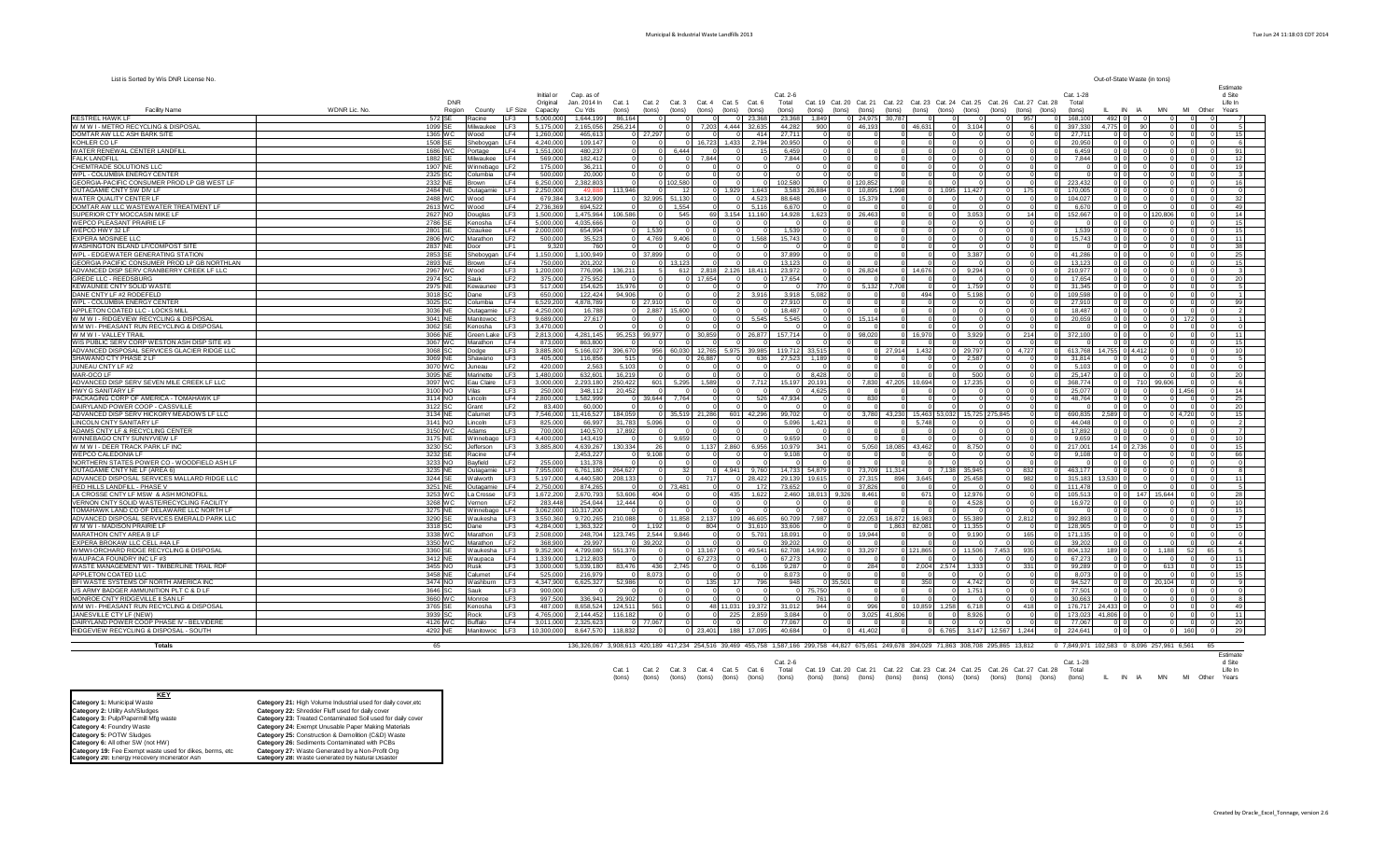## Municipal & Industrial Waste Landfills 2013 Tue Jun 24 11:18:03 CDT 2014

| Out-of-State Waste (in tons)<br>List is Sorted by Wis DNR License No. |
|-----------------------------------------------------------------------|
|-----------------------------------------------------------------------|

|                                                                                       |                         |                       |                                                            |                            |                            |                 |                                                                                                                                             |                     |                                                                                 |                        |                                  |                                   |                    |                                  |                    |                                              |                         |                            | Estimate           |
|---------------------------------------------------------------------------------------|-------------------------|-----------------------|------------------------------------------------------------|----------------------------|----------------------------|-----------------|---------------------------------------------------------------------------------------------------------------------------------------------|---------------------|---------------------------------------------------------------------------------|------------------------|----------------------------------|-----------------------------------|--------------------|----------------------------------|--------------------|----------------------------------------------|-------------------------|----------------------------|--------------------|
|                                                                                       | DNR                     |                       | Initial or<br>Original                                     | Cap. as of<br>Jan. 2014 In | Cat. 1                     |                 | Cat. 2 Cat. 3 Cat. 4 Cat. 5 Cat. 6                                                                                                          | $Cat. 2-6$<br>Total | Cat. 19 Cat. 20 Cat. 21 Cat. 22 Cat. 23 Cat. 24 Cat. 25 Cat. 26 Cat. 27 Cat. 28 |                        |                                  |                                   |                    |                                  | Cat. 1-28<br>Total |                                              |                         |                            | d Site<br>Life In  |
| <b>Facility Name</b>                                                                  | WDNR Lic. No.<br>Region | County                | LF Size<br>Capacity                                        | Cu Yds                     | $f$ (tons)<br>(tons)       | (tons)          | $f$ (tons)<br>(tons)<br>$f$ (tons)                                                                                                          | (tons)              | (tons) (tons) (tons)                                                            |                        | (tons)                           | (tons) (tons) (tons)              | (tons)             | (tons)<br>(tons)                 | (tons)             | IN IA                                        | <b>MN</b>               | MI Other                   | Years              |
| KFSTRFI HAWK I F                                                                      | 572 SE                  | Racine                | <b>IF3</b><br>5,000,000                                    | 1,644,199                  | 86.164                     |                 | $\sqrt{ }$<br>23,368                                                                                                                        | 23,368              | 1,849                                                                           | 0 24,975 30,787        |                                  |                                   | $\sim$             | 957<br>$\sqrt{2}$                | 168,100            | 492 0                                        | $\Omega$                | $\sim$                     |                    |
| W M W I - METRO RECYCLING & DISPOSAL                                                  | 1099 SE                 | Milwaukee             | 5,175,000<br>F <sub>3</sub>                                | 2,165,056                  | 256,214                    |                 | 7,203 4,444 32,635                                                                                                                          | 44,282              | 900                                                                             | 0 46,193               | 0 46,631                         | $0\quad 3.104$                    |                    | -6<br>$\Omega$                   | 397,330            | 4,775 0                                      | 90                      | $\Omega$                   |                    |
| DOMTAR AW LLC ASH BARK SITE                                                           | 1365 WC                 | Wood                  | LF4<br>1,260,000                                           | 465,613                    | $0$ 27,297                 |                 | 414                                                                                                                                         | 27,71'              | $\overline{0}$<br>$^{\circ}$                                                    | $\Omega$               |                                  |                                   |                    | $\Omega$<br>$\Omega$             | 27,711             | 0 <sub>0</sub>                               | $\Omega$                | $\circ$<br>$\Omega$        | 15                 |
| KOHLER CO LF                                                                          | 1508 SE                 | Sheboygan             | F4<br>4,240,000                                            | 109,147                    |                            |                 | 2,794<br>16,723<br>1,433                                                                                                                    | 20,950              | $\Omega$<br>$\Omega$                                                            | $\Omega$               |                                  |                                   |                    |                                  | 20,950             | 0 <sub>0</sub>                               |                         | $\Omega$                   |                    |
| WATER RENEWAL CENTER LANDFILL                                                         | 1686 WC                 | Portage               | LF4<br>1,551,000                                           | 480,237                    | $\circ$                    | 6,444           | 15                                                                                                                                          | 6,459               | $^{\circ}$<br>$\overline{0}$                                                    | $\circ$                |                                  |                                   | $\mathbf 0$        | $\mathbf 0$<br>$\mathbf 0$       | 6,459              | $0$ 0                                        |                         | 0                          | 91                 |
| <b>FALK LANDFILL</b>                                                                  | 1882 SE                 | Milwaukee             | F <sub>4</sub><br>569,000                                  | 182.412                    | $\overline{0}$             |                 | 7.844<br>$\circ$                                                                                                                            | 7.844               | $^{\circ}$<br>$\circ$                                                           | $\Omega$               |                                  |                                   |                    | $\mathbf 0$                      | 7.844              | 0 <sub>0</sub>                               |                         | $\circ$                    | 12                 |
| CHEMTRADE SOLUTIONS LLC<br>WPL - COLUMBIA ENERGY CENTER                               | 1907 NE<br>2325 SC      | Winnebago<br>Columbia | F <sub>2</sub><br>175,000<br>I F4<br>500,000               | 36,211<br>20,000           | $\overline{0}$             |                 |                                                                                                                                             |                     | $\Omega$<br>$\Omega$<br>$\Omega$                                                | - 0                    |                                  |                                   | $\Omega$           | $\Omega$                         |                    | $0$ 0<br>0 <sup>1</sup>                      |                         | $\Omega$                   | 19                 |
| GEORGIA-PACIFIC CONSUMER PROD LP GB WEST LF                                           | 2332 NE                 | Brown                 | I F4<br>6,250,000                                          | 2,382,803                  | $\overline{0}$             | 0 102.580       | $\Omega$                                                                                                                                    | 102,580             | $\Omega$                                                                        | 0 120.852              |                                  |                                   | $\Omega$           | $\Omega$<br>$\Omega$             | 223,432            | 0 <sub>0</sub>                               |                         | $\Omega$                   | 16                 |
| OUTAGAMIE CNTY SW DIV LF                                                              | 2484 NE                 | Outagamie             | LF3<br>2,250,000                                           | 49,88                      | 113,946                    |                 | 1,929<br>1,643                                                                                                                              | 3,583               | 26,884                                                                          | 0 10,895               | 1,998                            | 0 1,095 11,427                    | $\mathbf{0}$       | 175<br>$\Omega$                  | 170,005            | 0 <sub>0</sub>                               |                         | $\Omega$                   |                    |
| WATER QUALITY CENTER LF                                                               | 2488 WC                 | Wood                  | LF4<br>679,384                                             | 3,412,909                  | 0 32,995 51,130            |                 | 4,523<br>$\Omega$<br>$\Omega$                                                                                                               | 88,648              | $\overline{0}$                                                                  | 0 15,379               | $\Omega$<br>$\Omega$             | $\Omega$                          | $\overline{0}$     | $\overline{0}$<br>$\circ$        | 104,027            | 0 <sub>0</sub>                               | $\Omega$                | $\circ$                    | 32                 |
| DOMTAR AW LLC WASTEWATER TREATMENT LF                                                 | 2613 WC                 | Wood                  | LF4<br>2,736,369                                           | 694,522                    | $\overline{0}$             | 1,554           | 5,116                                                                                                                                       | 6,670               | $\Omega$<br>$\circ$                                                             |                        |                                  |                                   |                    |                                  | 6,670              | 0 <sub>0</sub>                               |                         | $\Omega$                   | 49                 |
| SUPERIOR CTY MOCCASIN MIKE LI                                                         | 2627 NO                 | Douglas               | LF3<br>1.500.000                                           | 1.475.964                  | 106,586                    | 545             | 11.160<br>69 3.154                                                                                                                          | 14.928              | 1.623                                                                           | 0 26.463               |                                  | 3.053                             |                    | 14                               | 152.667            | ol ol                                        | 0 120,806               | $\Omega$                   | 14                 |
| WEPCO PLEASANT PRAIRIE LF                                                             | 2786 SE                 | Kenosha               | LF4<br>5.000.000                                           | 4.035.666                  | $\Omega$                   |                 |                                                                                                                                             |                     | $\Omega$<br>$\Omega$                                                            |                        |                                  |                                   |                    |                                  |                    | 0 <sub>0</sub>                               |                         | $\Omega$                   | 15 <sup>1</sup>    |
| WEPCO HWY 32 LI                                                                       | 2801 SE                 | Ozaukee               | 2,000,000<br>I F4                                          | 654.994                    | 0 1.539                    |                 |                                                                                                                                             | 153                 |                                                                                 |                        |                                  |                                   |                    |                                  | 1.539              | 0 <sub>0</sub>                               |                         | $\Omega$                   | 15                 |
| EXPERA MOSINEE LLO<br>WASHINGTON ISLAND LF/COMPOST SITE                               | 2806 WC<br>2837 NE      | Marathon              | 500,000<br>F <sub>2</sub><br>IF1<br>9,320                  | 35,523<br>760              | $0\quad 4.769$<br>$\Omega$ | 9.406           | 1,568<br>$\Omega$                                                                                                                           | 15,743              | $\Omega$<br>$\Omega$<br>$\Omega$<br>$\Omega$                                    | $\Omega$               |                                  |                                   | $\Omega$           | $\Omega$                         | 15,743             | $0$ 0<br>$0$ 0                               |                         | $\Omega$<br>$\Omega$       | 11<br>38           |
| WPL - EDGEWATER GENERATING STATION                                                    | 2853 SE                 | Door<br>Sheboygan     | LF4<br>1,150,000                                           | 1,100,949                  | 0 37,899                   |                 |                                                                                                                                             | 37.89               | $\Omega$<br>$\Omega$                                                            |                        |                                  | $\Omega$<br>3,387                 |                    |                                  | 41,286             | 0 <sub>0</sub>                               |                         | $\Omega$                   | 25                 |
| GEORGIA PACIFIC CONSUMER PROD LP GB NORTHLAN                                          | 2893 NF                 | Brown                 | LF4<br>750,000                                             | 201,202                    |                            | 13.123          |                                                                                                                                             | 13.12               | $\Omega$                                                                        |                        |                                  |                                   |                    | $\Omega$                         | 13.123             | 0 <sub>0</sub>                               |                         | $\Omega$                   | 15                 |
| ADVANCED DISP SERV CRANBERRY CREEK LF LLC                                             | 2967 WC                 | Wood                  | LF3<br>1,200,000                                           | 776,096                    | 136,211                    | 612             | 2,818 2,126<br>18,411                                                                                                                       | 23,972              | $\circ$                                                                         | 0 26,824               | 14.676                           | $\Omega$<br>9,294                 |                    | $\Omega$<br>$\Omega$             | 210,977            | $0$ 0                                        |                         | $\Omega$                   |                    |
| GREDE LLC - REEDSBURG                                                                 | 2974 SC                 | Sauk                  | F <sub>2</sub><br>375,000                                  | 275,952                    |                            |                 | 17.654                                                                                                                                      | 17.654              | $\Omega$                                                                        |                        |                                  |                                   |                    |                                  | 17.654             | $0$ 0                                        |                         | $\Omega$                   | 20                 |
| KEWAUNEE CNTY SOLID WASTE                                                             | 2975 NE                 | Kewaunee              | LF3<br>517,000                                             | 154,625                    | 15,976                     |                 |                                                                                                                                             |                     | 770<br>$\circ$                                                                  | 5,132                  | 7.708                            | 1.75                              |                    |                                  | 31,345             | 0 <sub>0</sub>                               |                         | $\Omega$                   |                    |
| DANE CNTY LF #2 RODEFELD                                                              | 3018 SC                 | Dane                  | 650,000<br>F <sub>3</sub>                                  | 122,424                    | 94,906                     |                 | 3,916                                                                                                                                       | 3,918               | 5,082<br>$\Omega$                                                               |                        | 494                              | 5.198                             |                    |                                  | 109,598            | 0 <sub>0</sub>                               |                         | $\Omega$                   |                    |
| WPL - COLUMBIA ENERGY CENTER                                                          | 3025 SC                 | Columbia              | IF4<br>6,529,200                                           | 4,878,789                  | $0$ 27,910                 |                 | $\Omega$                                                                                                                                    | 27.91               | $^{\circ}$                                                                      |                        |                                  |                                   |                    |                                  | 27,910             | 0 <sub>0</sub>                               |                         | $\circ$                    | 99                 |
| APPLETON COATED LLC - LOCKS MILL                                                      | 3036 NE                 | Outagamie             | LF <sub>2</sub><br>4,250,000<br><b>IF3</b>                 | 16,788                     | $0\quad 2,887$<br>$\Omega$ | 15,600          | $\Omega$                                                                                                                                    | 18.48               | $\overline{0}$<br>$^{\circ}$<br>$\Omega$                                        | $^{\circ}$<br>0 15.114 |                                  |                                   | $^{\circ}$         | $^{\circ}$<br>$\circ$            | 18.487             | 0 0                                          |                         | $\circ$<br>$\Omega$        |                    |
| W M W I - RIDGEVIEW RECYCLING & DISPOSAL<br>WM WI - PHEASANT RUN RECYCLING & DISPOSAL | 3041 NE<br>3062 SE      | Manitowoc<br>Kenosha  | 9,689,000<br>3,470,000<br>LF3                              | 27,617                     | $\Omega$                   |                 | 5,545                                                                                                                                       | 5,545               | $\Omega$                                                                        |                        |                                  |                                   |                    |                                  | 20,659             | 0 0 <br> 0 0                                 |                         | 172<br>$\Omega$            |                    |
| WMWI-VALLEYTRAII                                                                      | 3066 NE                 | Green Lake LF3        | 2,813,000                                                  | 4,281,145                  | 95,253 99,977              |                 | 26,877<br>0 30.859                                                                                                                          | 157,714             | $\Omega$                                                                        | 0 98,020               | 0 16,970                         | $0\qquad 3,929$                   | $\Omega$           | 214<br>$\Omega$                  | 372,100            | 0 <sub>0</sub>                               |                         | $\circ$                    | 11                 |
| WIS PUBLIC SERV CORP WESTON ASH DISP SITE #3                                          | 3067 WC                 | Marathon              | LF4<br>873,000                                             | 863,800                    |                            |                 |                                                                                                                                             |                     |                                                                                 |                        |                                  |                                   |                    |                                  |                    | ol ol                                        |                         | $\Omega$                   | 15                 |
| ADVANCED DISPOSAL SERVICES GLACIER RIDGE LLC                                          | 3068 SC                 | Dodge                 | LF3<br>3,885,800                                           | 5,166,027                  | 396,670<br>956             |                 | 60,030 12,765 5,975 39,985                                                                                                                  | 119.712             | 33.515<br>$\Omega$                                                              |                        | 0 27.914 1.432                   | 0 29,797                          |                    | $0\quad 4.727$<br>$\Omega$       | 613.768            | 14.755 0 4.412                               |                         | $\circ$<br>$\Omega$        | 10                 |
| SHAWANO CTY PHASE 2 LF                                                                | 3069 NE                 | Shawano               | 405,000<br><b>IF3</b>                                      | 116,856                    | 515                        |                 | 636<br>0 26.887                                                                                                                             | 27,523              | 1,189<br>$\Omega$                                                               | $\Omega$               |                                  | $0 \quad 2.58$                    |                    | $\Omega$<br>$\Omega$             | 31.814             | 0 <sup>10</sup>                              | $\Omega$                | $\overline{0}$             |                    |
| JUNEAU CNTY LF #2                                                                     | 3070 WC                 | Juneau                | 420,000<br>F <sub>2</sub>                                  | 2,563                      | 5,103                      |                 |                                                                                                                                             |                     |                                                                                 | $\Omega$               |                                  |                                   |                    |                                  | 5.103              | 0 <sub>0</sub>                               |                         | $\Omega$                   |                    |
| MAR-OCO LF                                                                            | 3095 NE                 | Marinette             | LE3<br>1,480,000                                           | 632,601                    | 16,219                     |                 | $\cap$                                                                                                                                      |                     | 8.428<br>$\sqrt{2}$                                                             | $\Omega$               |                                  | $\sim$<br>500                     | $\Omega$           | $\Omega$                         | 25,147             | 0 <sub>0</sub>                               | $\sqrt{2}$              | $\Omega$                   | 20                 |
| ADVANCED DISP SERV SEVEN MILE CREEK LF LLC                                            | 3097 WC                 | Eau Claire            | F <sub>3</sub><br>3,000,000<br>F <sub>3</sub>              | 2,293,180                  | 250,422<br>601             | 5,295           | 7,712<br>1,589<br>$\Omega$                                                                                                                  | 15,197              | $\circ$<br>20,191<br>$\Omega$                                                   | $\circ$                | 7,830 47,205 10,694              | $0$ 17,235                        |                    | $\Omega$<br>$\Omega$<br>$\Omega$ | 368,774<br>25,077  | 0 <br>0 <sub>0</sub>                         | 710 99,606              | $\circ$<br>,456            | 14                 |
| HWY G SANITARY LF<br>PACKAGING CORP OF AMERICA - TOMAHAWK LF                          | 3100 NO<br>3114 NO      | Vilas<br>Lincoln      | 250,000<br>LF4<br>2,800,000                                | 348,112<br>1,582,999       | 20,452<br>0 39,644         | 7.764           | 526                                                                                                                                         | 47,934              | 4,625<br>$\circ$<br>$\Omega$                                                    | 830                    |                                  |                                   |                    | $\Omega$                         | 48.764             | 0 <sub>0</sub>                               |                         | $\circ$                    | 25                 |
| DAIRYLAND POWER COOP - CASSVILLE                                                      | 3122 SC                 | Grant                 | F <sub>2</sub><br>83,400                                   | 60,000                     | $\Omega$                   |                 |                                                                                                                                             |                     |                                                                                 |                        |                                  |                                   |                    |                                  |                    | $0$ 0                                        |                         | $\Omega$                   | 20                 |
| ADVANCED DISP SERV HICKORY MEADOWS LF LLC                                             | 3134 NE                 | Calumet               | 7,546,000<br>IF3                                           | 11,416,527                 | 184,059                    |                 | 601<br>35,519 21,286<br>42,296                                                                                                              | 99,702              | $\Omega$<br>- 01                                                                |                        |                                  | 3,780 43,230 15,463 53,032 15,725 | 275.845            |                                  | 690.835            | .589 0                                       |                         | 4,720                      | 15                 |
| LINCOLN CNTY SANITARY LF                                                              | 3141 NO                 | Lincoln               | I F3<br>825,000                                            | 66.997                     | 31,783 5,096               | $\Omega$        | - 0                                                                                                                                         | 5.096               | 1.421<br>$\Omega$                                                               | -01                    | 5.748<br>$\Omega$                |                                   | $\Omega$           | $\Omega$<br>$\Omega$             | 44.048             | 0 <sub>0</sub>                               |                         | $\Omega$                   |                    |
| ADAMS CNTY LF & RECYCLING CENTER                                                      | 3150 WC                 | Adams                 | IF3<br>700,000                                             | 140,570                    | 17,892                     |                 |                                                                                                                                             |                     | $\Omega$<br>$\Omega$                                                            |                        |                                  |                                   |                    | $\Omega$<br>$\Omega$             | 17,892             | 0 0                                          |                         | $\Omega$                   |                    |
| WINNEBAGO CNTY SUNNYVIEW LI                                                           | 3175 NE                 | Winnebago             | LF3<br>4,400,000                                           | 143,419                    |                            | 9,659           |                                                                                                                                             | 9.65                | $\Omega$                                                                        |                        |                                  |                                   |                    |                                  | 9,659              | $0$ 0                                        |                         | $\Omega$                   | 10 <sup>1</sup>    |
| W M W I - DEER TRACK PARK LF IN(                                                      | 3230 SC                 | Jefferson             | LF3<br>3,885,800<br>IF4                                    | 4,639,267                  | 130,334<br>-26<br>$\Omega$ | $\overline{0}$  | 1,137<br>2,860<br>6,956                                                                                                                     | 10,979              | 341<br>$\circ$                                                                  |                        | 5,050 18,085 43,462              | 8,750<br>$\circ$                  |                    | $\Omega$                         | 217,001            | 14 0 2,736                                   |                         | $\circ$<br>$\Omega$        | 15<br>66           |
| WEPCO CALEDONIA LF<br>NORTHERN STATES POWER CO - WOODFIELD ASH LF                     | 3232 SE<br>3233 NO      | Racine<br>Bavfield    | LF2<br>255,000                                             | 2,453,227<br>131,378       | 9,108                      |                 |                                                                                                                                             | 9,108               | $\Omega$<br>$\Omega$                                                            |                        |                                  |                                   |                    |                                  | 9,108              | 0 <sub>0</sub><br>000                        |                         | $\Omega$                   |                    |
| OUTAGAMIE CNTY NE LF (AREA 6)                                                         | 3235 NE                 | Outagamie             | LF3<br>7.955.000                                           | 6.761.180                  | 264.627                    | 32 <sup>1</sup> | 4.941<br>9.760                                                                                                                              | 14.733              | 54.879                                                                          | 0 73.709 11.314        |                                  | 0 7.138 35.945                    | $\Omega$           | 832<br>$\Omega$                  | 463,177            | 0 <sub>0</sub>                               |                         | $\Omega$                   |                    |
| ADVANCED DISPOSAL SERVICES MALLARD RIDGE LLC                                          | 3244 SE                 | Walworth              | 5,197,000<br>F3                                            | 4,440,580                  | 208,133                    |                 | 717<br>28,422                                                                                                                               | 29,139              | 19,615                                                                          | $0$ 27,315             | 896<br>3.645                     | 25,458                            |                    | 982                              | 315.183            | 530 0                                        |                         |                            |                    |
| RED HILLS LANDFILL - PHASE V                                                          | 3251 NE                 | Outagamie             | 2,750,000<br>I F4                                          | 874,265                    |                            | 0 73,481        | 172                                                                                                                                         | 73.652              | $\Omega$                                                                        | 0 37,826               |                                  |                                   | $\Omega$           | $\Omega$                         | 0 111.478          | 000                                          |                         | $\Omega$                   |                    |
| LA CROSSE CNTY LF MSW & ASH MONOFILL                                                  | 3253 WC                 | La Crosse             | 1,672,200<br>IF3                                           | 2,670,793                  | 404<br>53,606              |                 | 435<br>1,622                                                                                                                                | 2,460               | 18,013 9,326 8,461                                                              |                        | 671<br>$\Omega$                  | $0$ 12,976                        | $\Omega$           | $\Omega$<br>$\Omega$             | 105,513            | 0 <sub>0</sub>                               | 147 15,644              | $\Omega$<br>$\Omega$       | 28                 |
| VERNON CNTY SOLID WASTE/RECYCLING FACILITY                                            | 3268 WC                 | /ernon                | LF <sub>2</sub><br>283,448                                 | 254,044                    | 12,444                     |                 |                                                                                                                                             |                     |                                                                                 |                        |                                  | 4,528                             |                    |                                  | 16,972             | 0 <sub>0</sub>                               |                         | $\Omega$                   | 10                 |
| TOMAHAWK LAND CO OF DELAWARE LLC NORTH LF                                             | 3275 NE                 | Winnebago             | LF4<br>3,062,000                                           | 10,317,200                 |                            |                 | $\Omega$                                                                                                                                    |                     | $\Omega$<br>$\Omega$                                                            | $\Omega$               |                                  |                                   | $\Omega$           | $\Omega$                         |                    | 0 0                                          |                         | 0                          | 15                 |
| ADVANCED DISPOSAL SERVICES EMERALD PARK LLC<br>W M W I - MADISON PRAIRIE LF           | 3290 SE<br>3318 SC      | Waukesha<br>Dane      | F <sub>3</sub><br>3,550,360<br>F <sub>3</sub><br>4.284.000 | 9,720,265<br>1,363,322     | 210,088<br>1.192           | 11.858          | 2,137<br>109<br>46.605<br>804<br>31,610                                                                                                     | 60,709<br>33,606    | 7.987                                                                           | 0 22,053               | 16.872 16.983<br>1.863<br>82.081 | 0 55,389<br>11.35                 |                    | 2.812                            | 392,893<br>128,905 | 000<br>0 <sub>0</sub>                        |                         | $\Omega$<br>$\Omega$       | 15                 |
| <b>MARATHON CNTY AREA B LF</b>                                                        | 3338 WC                 | Marathon              | LF3<br>2,508,000                                           | 248,704                    | 123.745 2.544              | 9.846           | 5.701                                                                                                                                       | 18.091              | $\Omega$                                                                        | 0 19.944               |                                  | 9.190<br>$\Omega$                 | $\Omega$           | 165                              | 171.135            | 0 <sub>0</sub>                               |                         | $\circ$                    |                    |
| EXPERA BROKAW LLC CELL #4A LF                                                         | 3350 IWC                | Marathon              | 368,900<br>LF2                                             | 29,997                     | 0 39,202                   |                 | $\Omega$                                                                                                                                    | 39.20               | $\Omega$<br>$\Omega$                                                            |                        |                                  |                                   | $\Omega$           | $\Omega$                         | 39,202             | 0 <sub>0</sub>                               |                         | $\Omega$                   |                    |
| WMWI-ORCHARD RIDGE RECYCLING & DISPOSAL                                               | 3360 SF                 | Waukesha              | 9,352,900<br>IF3                                           | 4,799,080                  | 551,376                    | $\Omega$        | 13,167<br>49,541                                                                                                                            | 62,708              | 14,992                                                                          | 0 33,297               | 0 121,865                        | 0 11,506                          | 7,453              | 935<br>$\Omega$                  | 804,132            | 189 0                                        | $\overline{0}$<br>1.188 | 52<br>65                   |                    |
| WAUPACA FOUNDRY INC LF #3                                                             | 3412 NE                 | Waupaca               | 1,339,000<br>LF4                                           | 1,212,803                  | $\overline{\mathbf{0}}$    |                 | 0 67,273<br>$\overline{0}$                                                                                                                  | 67,273              | $\overline{0}$<br>$\circ$                                                       | $\Omega$               | $\overline{0}$                   |                                   | $\Omega$           | $\overline{0}$<br>$^{\circ}$     | 67,273             | 0 <sub>0</sub>                               |                         | $\overline{0}$<br>$\Omega$ | 11                 |
| WASTE MANAGEMENT WI - TIMBERLINE TRAIL RDF                                            | 3455 NO                 | Rusk                  | LF3<br>3,000,000                                           | 5,039,180                  | 83,476<br>436              | 2.745           | 6,106                                                                                                                                       | 9.287               | $\overline{0}$<br>$\Omega$                                                      | 284                    |                                  | $0$ 2,004 2,574 1,333             |                    | 331                              | 99,289             | ol ol                                        | 61                      | $\circ$                    | 15 <sup>1</sup>    |
| APPLETON COATED LLC                                                                   | 3458 NF                 | Calumet               | LF4<br>525,000                                             | 216,979                    | $0$ 8,073                  |                 | $\Omega$                                                                                                                                    | 8,073               | $\Omega$<br>$\Omega$                                                            | $\Omega$               |                                  |                                   |                    | $\Omega$                         | 8.073              | 0 0                                          |                         | $\Omega$                   | 15                 |
| BFI WASTE SYSTEMS OF NORTH AMERICA INC                                                | 3474 NO                 | Washburn              | 4,347,900<br>LF3                                           | 6,625,327                  | 52,986                     |                 | 135<br>796<br>17                                                                                                                            | 948                 | 0 35,501                                                                        | $\Omega$<br>$\Omega$   | 350<br>$\Omega$                  | $\Omega$<br>4.742                 |                    | $\Omega$<br>$\Omega$             | 94,527             | $0$ 0                                        | $0$ 20,104              | $\Omega$                   |                    |
| US ARMY BADGER AMMUNITION PLT C & D LF<br>MONROE CNTY RIDGEVILLE II SAN LF            | 3646 SC<br>3660 WC      | Sauk<br>Monroe        | LF3<br>900,000<br>LF3<br>997,500                           | 336,941                    | 29,902                     |                 |                                                                                                                                             |                     | 75.750<br>761<br>$\Omega$                                                       | $\Omega$               |                                  | 1.75                              |                    |                                  | 77.501<br>30,663   | 0 <sub>0</sub><br>0 <sub>0</sub>             |                         | $\Omega$                   |                    |
| WM WI - PHEASANT RUN RECYCLING & DISPOSAL                                             | 3765 SE                 | Kenosha               | LF3<br>487,000                                             | 8,658,524                  | 124,511<br>561             |                 | 48 11.031<br>19,372                                                                                                                         | 31,012              | 944<br>$\Omega$                                                                 | 996                    | 0 10,859 1,258                   | 6,718                             | $\Omega$           | 418<br>$\Omega$                  | 176,717            | 24,433 0                                     |                         | $\circ$<br>$\Omega$        | 49                 |
| JANESVILLE CTY LF (NEW                                                                | 3939 SC                 | Rock                  | F <sub>3</sub><br>4,765,000                                | 2,144,452                  | 116.182                    |                 | 225<br>2,859                                                                                                                                | 3,084               | $\Omega$<br>$\Omega$                                                            | 3,025 41,806           |                                  | $\Omega$<br>8,92                  | $\Omega$           | $\Omega$                         | 173,023            | $41.806$ (                                   |                         | $\circ$                    | 11                 |
| DAIRYLAND POWER COOP PHASE IV - BELVIDERE                                             | 4126 WC                 | Buffalo               | I F4<br>3,011,000                                          | 2,325,623                  | 0 77,067                   | $\Omega$        | $\Omega$<br>$\Omega$<br>$\Omega$                                                                                                            | 77,067              | $\Omega$<br>$\Omega$                                                            | $\Omega$               | $\Omega$                         | $\Omega$                          | $\circ$            | $\Omega$<br>$\Omega$             | 77,067             | n I n                                        | $\Omega$                | $\overline{0}$<br>$\Omega$ | 20                 |
| RIDGEVIEW RECYCLING & DISPOSAL - SOUTH                                                | 4292 NE                 | Manitowoc             | LF3<br>10,300,000                                          | 8,647,570                  | 118,832                    |                 | $0 \quad 23,401$<br>188 17,095                                                                                                              | 40,684              | $\Omega$                                                                        | 0 41,402               |                                  | $0 \quad 6.765$                   | 3,147 12,567 1,244 |                                  | 0 224,641          | 0 <sub>0</sub>                               |                         | 160                        | 29                 |
|                                                                                       |                         |                       |                                                            |                            |                            |                 |                                                                                                                                             |                     |                                                                                 |                        |                                  |                                   |                    |                                  |                    |                                              |                         |                            |                    |
| <b>Totals</b>                                                                         | 65                      |                       |                                                            |                            |                            |                 | 136,326,067 3,908,613 420,189 417,234 254,516 39,469 455,758 1,587,166 299,758 44,827 675,651 249,678 394,029 71,863 308,708 295,865 13,812 |                     |                                                                                 |                        |                                  |                                   |                    |                                  |                    | 0 7,849,971 102,583 0 8,096 257,961 6,561 65 |                         |                            |                    |
|                                                                                       |                         |                       |                                                            |                            |                            |                 |                                                                                                                                             | Cat. 2-6            |                                                                                 |                        |                                  |                                   |                    |                                  | Cat. 1-28          |                                              |                         |                            | Estimate<br>d Site |
|                                                                                       |                         |                       |                                                            |                            |                            |                 |                                                                                                                                             |                     |                                                                                 |                        |                                  |                                   |                    |                                  |                    |                                              |                         |                            |                    |

|                      | Cat. 2-6 |  |                                                   |  |  |
|----------------------|----------|--|---------------------------------------------------|--|--|
| Cat. 4 Cat. 5 Cat. 6 | Total    |  | Cat. 19 Cat. 20 Cat. 21 Cat. 22 Cat. 23 Cat. 24 0 |  |  |

Cat. 1 Cat. 2 Cat. 3 Cat. 4 Cat. 5 Cat. 6<br>(tons) (tons) (tons) (tons) (tons) (tons) (tons) (tons) (tons) (tons) (tons) (tons) (tons) Cat. 25 Cat. 26 Cat. 27 Cat. 28 Total<br>(tons) (tons) (tons) (tons) (tons)  $IL$  IN IA MN Life In Years

|                             | KEY                                                 |
|-----------------------------|-----------------------------------------------------|
| Category 1: Municipal Waste |                                                     |
|                             | Category 2: Utility Ash/Sludges                     |
|                             | Category 3: Pulp/Papermill Mfg waste                |
| Category 4: Foundry Waste   |                                                     |
| Category 5: POTW Sludges    |                                                     |
|                             | Category 6: All other SW (not HW)                   |
|                             | Category 19: Fee Exempt waste used for dikes, berms |
|                             | Category 20: Energy Recovery Incinerator Ash        |

Category 2: Unincipal Waster Category 2: Streed Category 2: Unincipal Waster Category 2: Streed Category 2: Streed Category 2: Streed Category 2: Treated Contaminated Soli used for daily cover<br>Category 3: Pulp/Papermill Mg